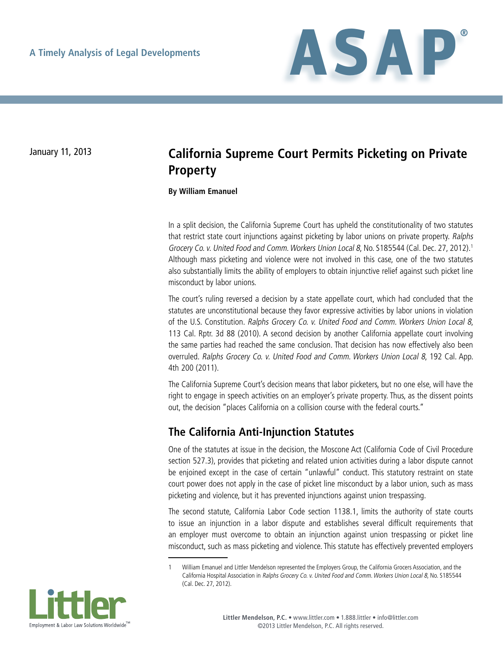

# January 11, 2013 **California Supreme Court Permits Picketing on Private Property**

**By William Emanuel**

In a split decision, the California Supreme Court has upheld the constitutionality of two statutes that restrict state court injunctions against picketing by labor unions on private property. Ralphs Grocery Co. v. United Food and Comm. Workers Union Local 8, No. S185544 (Cal. Dec. 27, 2012).1 Although mass picketing and violence were not involved in this case, one of the two statutes also substantially limits the ability of employers to obtain injunctive relief against such picket line misconduct by labor unions.

The court's ruling reversed a decision by a state appellate court, which had concluded that the statutes are unconstitutional because they favor expressive activities by labor unions in violation of the U.S. Constitution. Ralphs Grocery Co. v. United Food and Comm. Workers Union Local 8, 113 Cal. Rptr. 3d 88 (2010). A second decision by another California appellate court involving the same parties had reached the same conclusion. That decision has now effectively also been overruled. Ralphs Grocery Co. v. United Food and Comm. Workers Union Local 8, 192 Cal. App. 4th 200 (2011).

The California Supreme Court's decision means that labor picketers, but no one else, will have the right to engage in speech activities on an employer's private property. Thus, as the dissent points out, the decision "places California on a collision course with the federal courts."

#### **The California Anti-Injunction Statutes**

One of the statutes at issue in the decision, the Moscone Act (California Code of Civil Procedure section 527.3), provides that picketing and related union activities during a labor dispute cannot be enjoined except in the case of certain "unlawful" conduct. This statutory restraint on state court power does not apply in the case of picket line misconduct by a labor union, such as mass picketing and violence, but it has prevented injunctions against union trespassing.

The second statute, California Labor Code section 1138.1, limits the authority of state courts to issue an injunction in a labor dispute and establishes several difficult requirements that an employer must overcome to obtain an injunction against union trespassing or picket line misconduct, such as mass picketing and violence. This statute has effectively prevented employers

<sup>1</sup> William Emanuel and Littler Mendelson represented the Employers Group, the California Grocers Association, and the California Hospital Association in Ralphs Grocery Co. v. United Food and Comm. Workers Union Local 8, No. S185544 (Cal. Dec. 27, 2012).

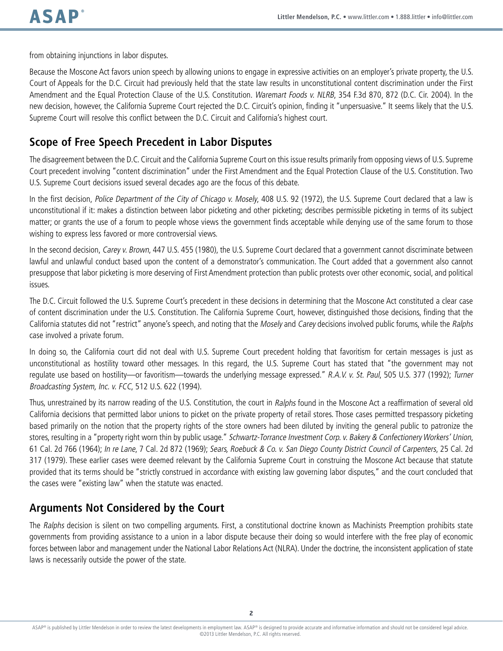from obtaining injunctions in labor disputes.

Because the Moscone Act favors union speech by allowing unions to engage in expressive activities on an employer's private property, the U.S. Court of Appeals for the D.C. Circuit had previously held that the state law results in unconstitutional content discrimination under the First Amendment and the Equal Protection Clause of the U.S. Constitution. Waremart Foods v. NLRB, 354 F.3d 870, 872 (D.C. Cir. 2004). In the new decision, however, the California Supreme Court rejected the D.C. Circuit's opinion, finding it "unpersuasive." It seems likely that the U.S. Supreme Court will resolve this conflict between the D.C. Circuit and California's highest court.

#### **Scope of Free Speech Precedent in Labor Disputes**

The disagreement between the D.C. Circuit and the California Supreme Court on this issue results primarily from opposing views of U.S. Supreme Court precedent involving "content discrimination" under the First Amendment and the Equal Protection Clause of the U.S. Constitution. Two U.S. Supreme Court decisions issued several decades ago are the focus of this debate.

In the first decision, Police Department of the City of Chicago v. Mosely, 408 U.S. 92 (1972), the U.S. Supreme Court declared that a law is unconstitutional if it: makes a distinction between labor picketing and other picketing; describes permissible picketing in terms of its subject matter; or grants the use of a forum to people whose views the government finds acceptable while denying use of the same forum to those wishing to express less favored or more controversial views.

In the second decision, Carey v. Brown, 447 U.S. 455 (1980), the U.S. Supreme Court declared that a government cannot discriminate between lawful and unlawful conduct based upon the content of a demonstrator's communication. The Court added that a government also cannot presuppose that labor picketing is more deserving of First Amendment protection than public protests over other economic, social, and political issues.

The D.C. Circuit followed the U.S. Supreme Court's precedent in these decisions in determining that the Moscone Act constituted a clear case of content discrimination under the U.S. Constitution. The California Supreme Court, however, distinguished those decisions, finding that the California statutes did not "restrict" anyone's speech, and noting that the Mosely and Carey decisions involved public forums, while the Ralphs case involved a private forum.

In doing so, the California court did not deal with U.S. Supreme Court precedent holding that favoritism for certain messages is just as unconstitutional as hostility toward other messages. In this regard, the U.S. Supreme Court has stated that "the government may not regulate use based on hostility—or favoritism—towards the underlying message expressed." R.A.V. v. St. Paul, 505 U.S. 377 (1992); Turner Broadcasting System, Inc. v. FCC, 512 U.S. 622 (1994).

Thus, unrestrained by its narrow reading of the U.S. Constitution, the court in Ralphs found in the Moscone Act a reaffirmation of several old California decisions that permitted labor unions to picket on the private property of retail stores. Those cases permitted trespassory picketing based primarily on the notion that the property rights of the store owners had been diluted by inviting the general public to patronize the stores, resulting in a "property right worn thin by public usage." Schwartz-Torrance Investment Corp. v. Bakery & Confectionery Workers' Union, 61 Cal. 2d 766 (1964); In re Lane, 7 Cal. 2d 872 (1969); Sears, Roebuck & Co. v. San Diego County District Council of Carpenters, 25 Cal. 2d 317 (1979). These earlier cases were deemed relevant by the California Supreme Court in construing the Moscone Act because that statute provided that its terms should be "strictly construed in accordance with existing law governing labor disputes," and the court concluded that the cases were "existing law" when the statute was enacted.

### **Arguments Not Considered by the Court**

The Ralphs decision is silent on two compelling arguments. First, a constitutional doctrine known as Machinists Preemption prohibits state governments from providing assistance to a union in a labor dispute because their doing so would interfere with the free play of economic forces between labor and management under the National Labor Relations Act (NLRA). Under the doctrine, the inconsistent application of state laws is necessarily outside the power of the state.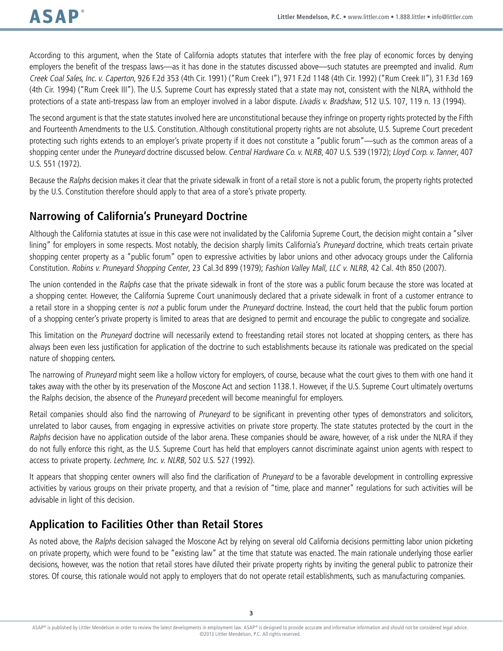According to this argument, when the State of California adopts statutes that interfere with the free play of economic forces by denying employers the benefit of the trespass laws—as it has done in the statutes discussed above—such statutes are preempted and invalid. Rum Creek Coal Sales, Inc. v. Caperton, 926 F.2d 353 (4th Cir. 1991) ("Rum Creek I"), 971 F.2d 1148 (4th Cir. 1992) ("Rum Creek II"), 31 F.3d 169 (4th Cir. 1994) ("Rum Creek III"). The U.S. Supreme Court has expressly stated that a state may not, consistent with the NLRA, withhold the protections of a state anti-trespass law from an employer involved in a labor dispute. Livadis v. Bradshaw, 512 U.S. 107, 119 n. 13 (1994).

The second argument is that the state statutes involved here are unconstitutional because they infringe on property rights protected by the Fifth and Fourteenth Amendments to the U.S. Constitution. Although constitutional property rights are not absolute, U.S. Supreme Court precedent protecting such rights extends to an employer's private property if it does not constitute a "public forum"—such as the common areas of a shopping center under the Pruneyard doctrine discussed below. Central Hardware Co. v. NLRB, 407 U.S. 539 (1972); Lloyd Corp. v. Tanner, 407 U.S. 551 (1972).

Because the Ralphs decision makes it clear that the private sidewalk in front of a retail store is not a public forum, the property rights protected by the U.S. Constitution therefore should apply to that area of a store's private property.

### **Narrowing of California's Pruneyard Doctrine**

Although the California statutes at issue in this case were not invalidated by the California Supreme Court, the decision might contain a "silver lining" for employers in some respects. Most notably, the decision sharply limits California's Pruneyard doctrine, which treats certain private shopping center property as a "public forum" open to expressive activities by labor unions and other advocacy groups under the California Constitution. Robins v. Pruneyard Shopping Center, 23 Cal.3d 899 (1979); Fashion Valley Mall, LLC v. NLRB, 42 Cal. 4th 850 (2007).

The union contended in the Ralphs case that the private sidewalk in front of the store was a public forum because the store was located at a shopping center. However, the California Supreme Court unanimously declared that a private sidewalk in front of a customer entrance to a retail store in a shopping center is not a public forum under the Pruneyard doctrine. Instead, the court held that the public forum portion of a shopping center's private property is limited to areas that are designed to permit and encourage the public to congregate and socialize.

This limitation on the Pruneyard doctrine will necessarily extend to freestanding retail stores not located at shopping centers, as there has always been even less justification for application of the doctrine to such establishments because its rationale was predicated on the special nature of shopping centers.

The narrowing of Pruneyard might seem like a hollow victory for employers, of course, because what the court gives to them with one hand it takes away with the other by its preservation of the Moscone Act and section 1138.1. However, if the U.S. Supreme Court ultimately overturns the Ralphs decision, the absence of the Pruneyard precedent will become meaningful for employers.

Retail companies should also find the narrowing of Pruneyard to be significant in preventing other types of demonstrators and solicitors, unrelated to labor causes, from engaging in expressive activities on private store property. The state statutes protected by the court in the Ralphs decision have no application outside of the labor arena. These companies should be aware, however, of a risk under the NLRA if they do not fully enforce this right, as the U.S. Supreme Court has held that employers cannot discriminate against union agents with respect to access to private property. Lechmere, Inc. v. NLRB, 502 U.S. 527 (1992).

It appears that shopping center owners will also find the clarification of Pruneyard to be a favorable development in controlling expressive activities by various groups on their private property, and that a revision of "time, place and manner" regulations for such activities will be advisable in light of this decision.

#### **Application to Facilities Other than Retail Stores**

As noted above, the Ralphs decision salvaged the Moscone Act by relying on several old California decisions permitting labor union picketing on private property, which were found to be "existing law" at the time that statute was enacted. The main rationale underlying those earlier decisions, however, was the notion that retail stores have diluted their private property rights by inviting the general public to patronize their stores. Of course, this rationale would not apply to employers that do not operate retail establishments, such as manufacturing companies.